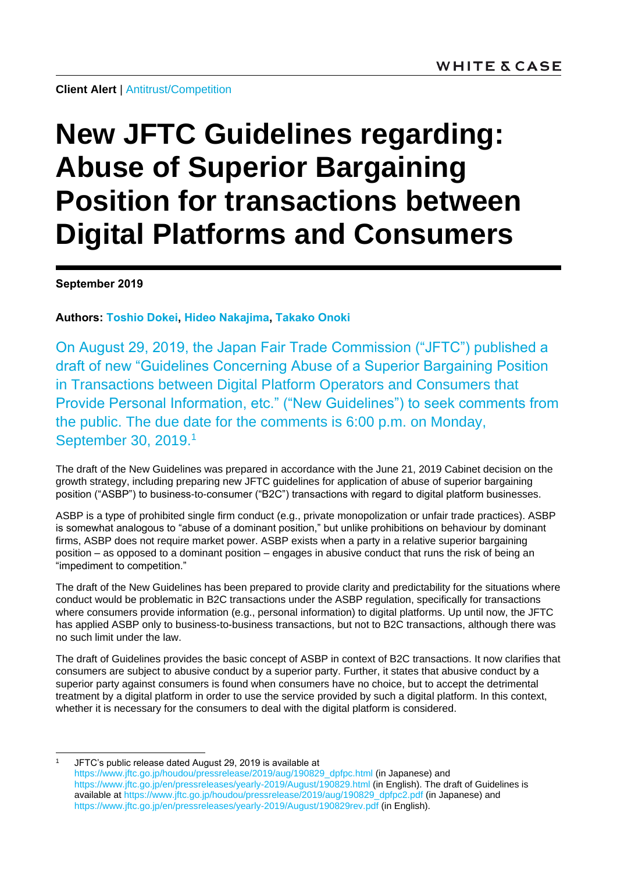## **New JFTC Guidelines regarding: Abuse of Superior Bargaining Position for transactions between Digital Platforms and Consumers**

**September 2019**

l

**Authors: [Toshio Dokei,](https://www.whitecase.com/people/toshio-dokei) [Hideo Nakajima,](https://www.whitecase.com/people/hideo-nakajima) [Takako Onoki](https://www.whitecase.com/people/takako-onoki)**

On August 29, 2019, the Japan Fair Trade Commission ("JFTC") published a draft of new "Guidelines Concerning Abuse of a Superior Bargaining Position in Transactions between Digital Platform Operators and Consumers that Provide Personal Information, etc." ("New Guidelines") to seek comments from the public. The due date for the comments is 6:00 p.m. on Monday, September 30, 2019.<sup>1</sup>

The draft of the New Guidelines was prepared in accordance with the June 21, 2019 Cabinet decision on the growth strategy, including preparing new JFTC guidelines for application of abuse of superior bargaining position ("ASBP") to business-to-consumer ("B2C") transactions with regard to digital platform businesses.

ASBP is a type of prohibited single firm conduct (e.g., private monopolization or unfair trade practices). ASBP is somewhat analogous to "abuse of a dominant position," but unlike prohibitions on behaviour by dominant firms, ASBP does not require market power. ASBP exists when a party in a relative superior bargaining position – as opposed to a dominant position – engages in abusive conduct that runs the risk of being an "impediment to competition."

The draft of the New Guidelines has been prepared to provide clarity and predictability for the situations where conduct would be problematic in B2C transactions under the ASBP regulation, specifically for transactions where consumers provide information (e.g., personal information) to digital platforms. Up until now, the JFTC has applied ASBP only to business-to-business transactions, but not to B2C transactions, although there was no such limit under the law.

The draft of Guidelines provides the basic concept of ASBP in context of B2C transactions. It now clarifies that consumers are subject to abusive conduct by a superior party. Further, it states that abusive conduct by a superior party against consumers is found when consumers have no choice, but to accept the detrimental treatment by a digital platform in order to use the service provided by such a digital platform. In this context, whether it is necessary for the consumers to deal with the digital platform is considered.

JFTC's public release dated August 29, 2019 is available at [https://www.jftc.go.jp/houdou/pressrelease/2019/aug/190829\\_dpfpc.html](https://www.jftc.go.jp/houdou/pressrelease/2019/aug/190829_dpfpc.html) (in Japanese) and <https://www.jftc.go.jp/en/pressreleases/yearly-2019/August/190829.html> (in English). The draft of Guidelines is available a[t https://www.jftc.go.jp/houdou/pressrelease/2019/aug/190829\\_dpfpc2.pdf](https://www.jftc.go.jp/houdou/pressrelease/2019/aug/190829_dpfpc2.pdf) (in Japanese) and <https://www.jftc.go.jp/en/pressreleases/yearly-2019/August/190829rev.pdf> (in English).